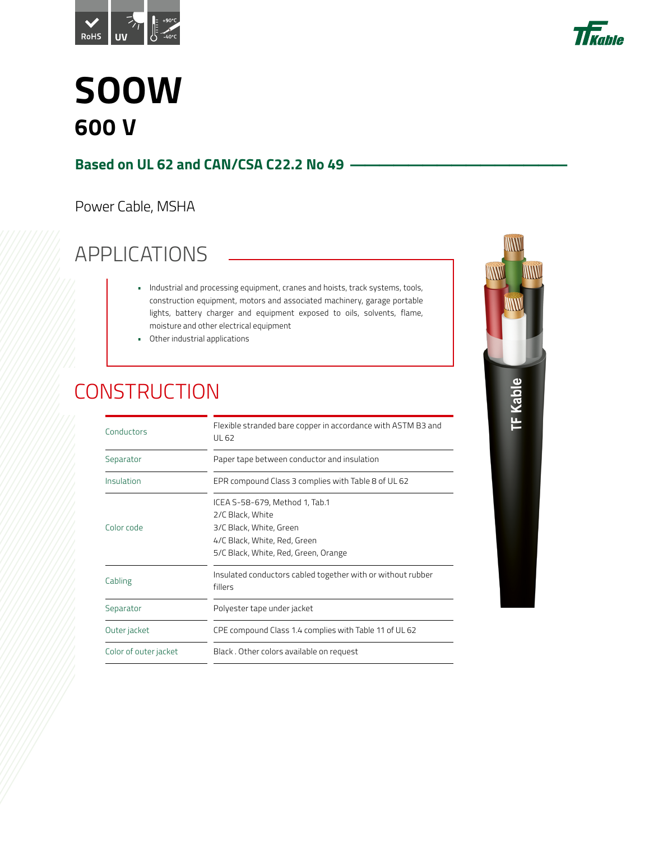



## **SOOW 600 V**

#### Based on UL 62 and CAN/CSA C22.2 No 49 -

#### Power Cable, MSHA

### APPLICATIONS

- Industrial and processing equipment, cranes and hoists, track systems, tools, construction equipment, motors and associated machinery, garage portable lights, battery charger and equipment exposed to oils, solvents, flame, moisture and other electrical equipment
- Other industrial applications

### **CONSTRUCTION**

| Conductors            | Flexible stranded bare copper in accordance with ASTM B3 and<br>UL 62                                                                                 |
|-----------------------|-------------------------------------------------------------------------------------------------------------------------------------------------------|
| Separator             | Paper tape between conductor and insulation                                                                                                           |
| Insulation            | EPR compound Class 3 complies with Table 8 of UL 62                                                                                                   |
| Color code            | ICEA S-58-679, Method 1, Tab.1<br>2/C Black, White<br>3/C Black, White, Green<br>4/C Black, White, Red, Green<br>5/C Black, White, Red, Green, Orange |
| Cabling               | Insulated conductors cabled together with or without rubber<br>fillers                                                                                |
| Separator             | Polyester tape under jacket                                                                                                                           |
| Outer jacket          | CPE compound Class 1.4 complies with Table 11 of UL 62                                                                                                |
| Color of outer jacket | Black. Other colors available on request                                                                                                              |
|                       |                                                                                                                                                       |

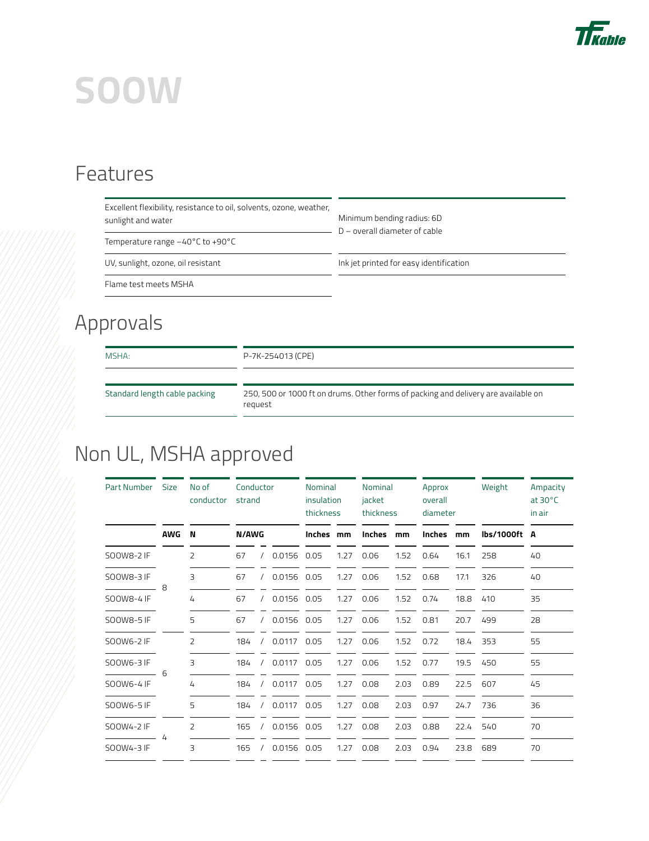

# **SOOW**

#### Features

| Excellent flexibility, resistance to oil, solvents, ozone, weather,<br>sunlight and water | Minimum bending radius: 6D<br>$D$ – overall diameter of cable |  |  |  |  |  |
|-------------------------------------------------------------------------------------------|---------------------------------------------------------------|--|--|--|--|--|
| Temperature range $-40^{\circ}$ C to $+90^{\circ}$ C                                      |                                                               |  |  |  |  |  |
| UV, sunlight, ozone, oil resistant                                                        | Ink jet printed for easy identification                       |  |  |  |  |  |
| Flame test meets MSHA                                                                     |                                                               |  |  |  |  |  |

### Approvals

MSHA: P-7K-254013 (CPE) Standard length cable packing 250, 500 or 1000 ft on drums. Other forms of packing and delivery are available on request

### Non UL, MSHA approved

| Part Number Size                         | <b>AWG</b> | No of<br>conductor | Conductor<br>strand |            |             | Nominal<br>insulation<br>thickness |      | Nominal<br>jacket<br>thickness |      | Approx<br>overall<br>diameter |          | Weight       | Ampacity<br>at $30^{\circ}$ C<br>in air |
|------------------------------------------|------------|--------------------|---------------------|------------|-------------|------------------------------------|------|--------------------------------|------|-------------------------------|----------|--------------|-----------------------------------------|
|                                          |            | N                  | <b>N/AWG</b>        |            |             | Inches mm                          |      | Inches                         | mm   | Inches mm                     |          | lbs/1000ft A |                                         |
| SOOW8-2 IF                               |            | $\overline{2}$     | 67                  |            | 0.0156      | 0.05                               | 1.27 | 0.06                           | 1.52 | 0.64                          | 16.1     | 258          | 40                                      |
| SOOW8-3 IF                               |            | 3                  | 67                  |            | 0.0156      | 0.05                               | 1.27 | 0.06                           | 1.52 | 0.68                          | 17.1     | 326          | 40                                      |
| $\sim$ 8<br>SOOW8-4 IF                   |            | 4                  | 67                  |            | 0.0156 0.05 |                                    | 1.27 | 0.06                           | 1.52 | 0.74                          | 18.8     | 410          | 35                                      |
| SOOW8-5 IF                               |            | 5                  | 67                  | $\prime$   | 0.0156 0.05 |                                    | 1.27 | 0.06                           | 1.52 | 0.81                          | 20.7     | 499          | 28                                      |
| SOOW6-2 IF                               |            | 2                  | 184                 | $\sqrt{2}$ | 0.0117 0.05 |                                    | 1.27 | 0.06                           | 1.52 | 0.72                          | 18.4 353 |              | 55                                      |
| SOOW6-3 IF<br>$\overline{\phantom{a}}$ 6 |            | $\overline{z}$     | 184                 |            | 0.0117 0.05 |                                    | 1.27 | 0.06                           | 1.52 | 0.77                          | 19.5     | 450          | 55                                      |
| SOOW6-4 IF                               |            | 4                  | 184                 |            | 0.0117      | 0.05                               | 1.27 | 0.08                           | 2.03 | 0.89                          | 22.5     | 607          | 45                                      |
| SOOW6-5 IF                               |            | 5                  | 184                 | $\prime$   | 0.0117      | 0.05                               | 1.27 | 0.08                           | 2.03 | 0.97                          | 24.7     | 736          | 36                                      |
| SOOW4-2 IF                               |            | $\overline{2}$     | 165                 | $\prime$   | 0.0156 0.05 |                                    | 1.27 | 0.08                           | 2.03 | 0.88                          | 22.4     | 540          | 70                                      |
| SOOW4-3 IF                               |            | 3                  | 165                 | $\sqrt{2}$ | 0.0156 0.05 |                                    | 1.27 | 0.08                           | 2.03 | 0.94                          | 23.8     | 689          | 70                                      |